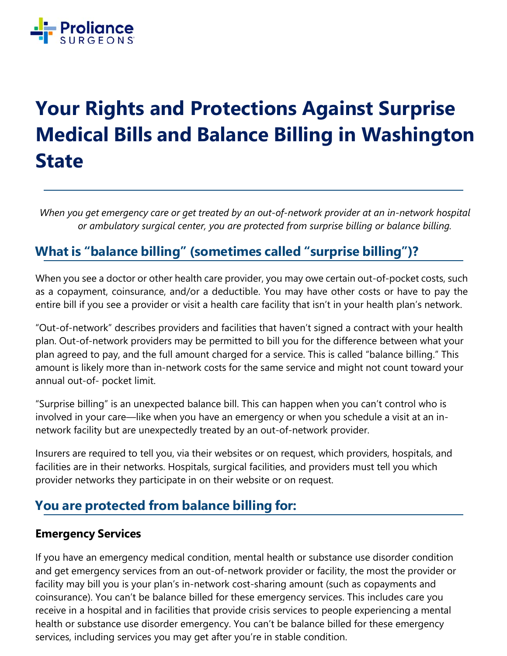

# **Your Rights and Protections Against Surprise Medical Bills and Balance Billing in Washington State**

*When you get emergency care or get treated by an out-of-network provider at an in-network hospital or ambulatory surgical center, you are protected from surprise billing or balance billing.* 

## **What is "balance billing" (sometimes called "surprise billing")?**

When you see a doctor or other health care provider, you may owe certain out-of-pocket costs, such as a copayment, coinsurance, and/or a deductible. You may have other costs or have to pay the entire bill if you see a provider or visit a health care facility that isn't in your health plan's network.

"Out-of-network" describes providers and facilities that haven't signed a contract with your health plan. Out-of-network providers may be permitted to bill you for the difference between what your plan agreed to pay, and the full amount charged for a service. This is called "balance billing." This amount is likely more than in-network costs for the same service and might not count toward your annual out-of- pocket limit.

"Surprise billing" is an unexpected balance bill. This can happen when you can't control who is involved in your care—like when you have an emergency or when you schedule a visit at an innetwork facility but are unexpectedly treated by an out-of-network provider.

Insurers are required to tell you, via their websites or on request, which providers, hospitals, and facilities are in their networks. Hospitals, surgical facilities, and providers must tell you which provider networks they participate in on their website or on request.

## **You are protected from balance billing for:**

#### **Emergency Services**

If you have an emergency medical condition, mental health or substance use disorder condition and get emergency services from an out-of-network provider or facility, the most the provider or facility may bill you is your plan's in-network cost-sharing amount (such as copayments and coinsurance). You can't be balance billed for these emergency services. This includes care you receive in a hospital and in facilities that provide crisis services to people experiencing a mental health or substance use disorder emergency. You can't be balance billed for these emergency services, including services you may get after you're in stable condition.